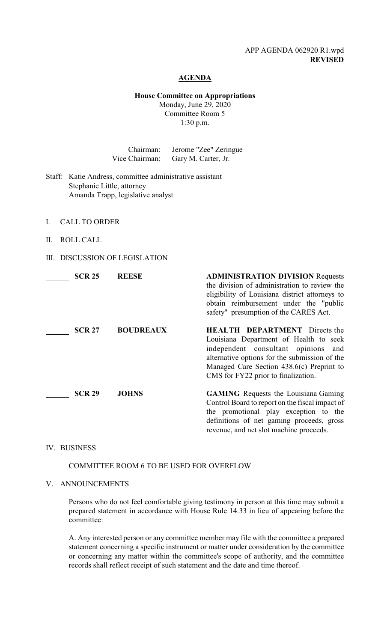## APP AGENDA 062920 R1.wpd **REVISED**

### **AGENDA**

# **House Committee on Appropriations**

Monday, June 29, 2020 Committee Room 5 1:30 p.m.

|                                                                                                                                | Chairman:<br>Vice Chairman: | Jerome "Zee" Zeringue<br>Gary M. Carter, Jr.                                                                                                                                                                                                                     |
|--------------------------------------------------------------------------------------------------------------------------------|-----------------------------|------------------------------------------------------------------------------------------------------------------------------------------------------------------------------------------------------------------------------------------------------------------|
| Katie Andress, committee administrative assistant<br>Staff:<br>Stephanie Little, attorney<br>Amanda Trapp, legislative analyst |                             |                                                                                                                                                                                                                                                                  |
| <b>CALL TO ORDER</b><br>L                                                                                                      |                             |                                                                                                                                                                                                                                                                  |
| <b>ROLL CALL</b><br>Π.                                                                                                         |                             |                                                                                                                                                                                                                                                                  |
| <b>DISCUSSION OF LEGISLATION</b><br>Ш.                                                                                         |                             |                                                                                                                                                                                                                                                                  |
| <b>SCR 25</b>                                                                                                                  | <b>REESE</b>                | <b>ADMINISTRATION DIVISION Requests</b><br>the division of administration to review the<br>eligibility of Louisiana district attorneys to<br>obtain reimbursement under the "public<br>safety" presumption of the CARES Act.                                     |
| <b>SCR 27</b>                                                                                                                  | <b>BOUDREAUX</b>            | <b>HEALTH DEPARTMENT</b> Directs the<br>Louisiana Department of Health to seek<br>independent consultant<br>opinions<br>and<br>alternative options for the submission of the<br>Managed Care Section 438.6(c) Preprint to<br>CMS for FY22 prior to finalization. |
| <b>SCR 29</b>                                                                                                                  | <b>JOHNS</b>                | <b>GAMING</b> Requests the Louisiana Gaming<br>Control Board to report on the fiscal impact of<br>the promotional play exception to the<br>definitions of net gaming proceeds, gross<br>revenue, and net slot machine proceeds.                                  |

IV. BUSINESS

COMMITTEE ROOM 6 TO BE USED FOR OVERFLOW

# V. ANNOUNCEMENTS

Persons who do not feel comfortable giving testimony in person at this time may submit a prepared statement in accordance with House Rule 14.33 in lieu of appearing before the committee:

A. Any interested person or any committee member may file with the committee a prepared statement concerning a specific instrument or matter under consideration by the committee or concerning any matter within the committee's scope of authority, and the committee records shall reflect receipt of such statement and the date and time thereof.